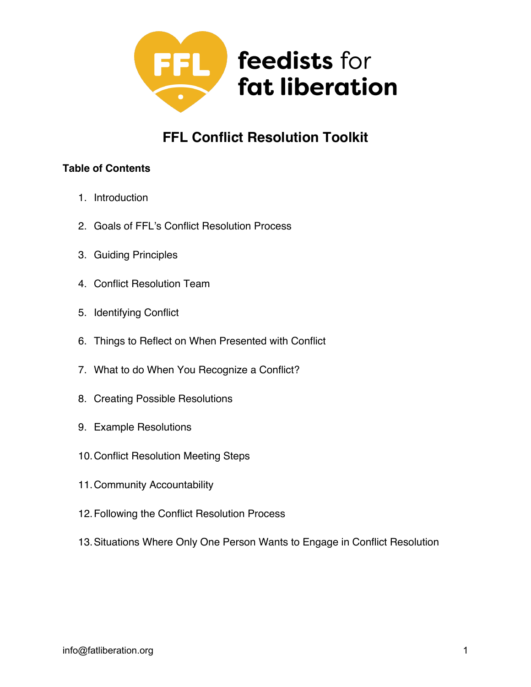

# **FFL Conflict Resolution Toolkit**

#### **Table of Contents**

- 1. Introduction
- 2. Goals of FFL's Conflict Resolution Process
- 3. Guiding Principles
- 4. Conflict Resolution Team
- 5. Identifying Conflict
- 6. Things to Reflect on When Presented with Conflict
- 7. What to do When You Recognize a Conflict?
- 8. Creating Possible Resolutions
- 9. Example Resolutions
- 10.Conflict Resolution Meeting Steps
- 11.Community Accountability
- 12.Following the Conflict Resolution Process
- 13.Situations Where Only One Person Wants to Engage in Conflict Resolution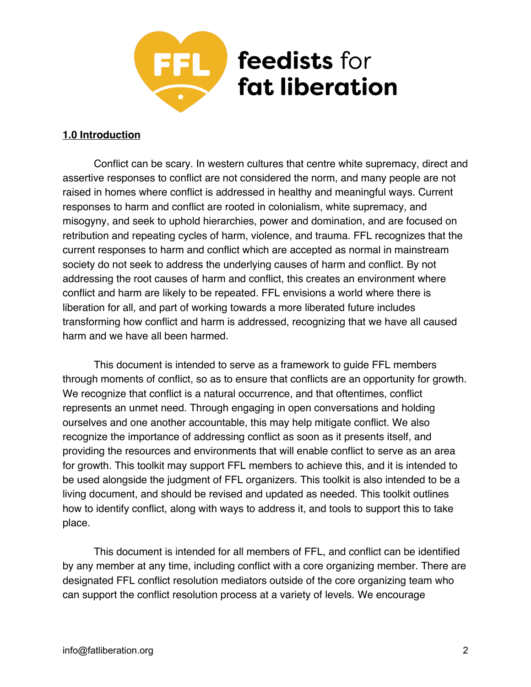

#### **1.0 Introduction**

Conflict can be scary. In western cultures that centre white supremacy, direct and assertive responses to conflict are not considered the norm, and many people are not raised in homes where conflict is addressed in healthy and meaningful ways. Current responses to harm and conflict are rooted in colonialism, white supremacy, and misogyny, and seek to uphold hierarchies, power and domination, and are focused on retribution and repeating cycles of harm, violence, and trauma. FFL recognizes that the current responses to harm and conflict which are accepted as normal in mainstream society do not seek to address the underlying causes of harm and conflict. By not addressing the root causes of harm and conflict, this creates an environment where conflict and harm are likely to be repeated. FFL envisions a world where there is liberation for all, and part of working towards a more liberated future includes transforming how conflict and harm is addressed, recognizing that we have all caused harm and we have all been harmed.

This document is intended to serve as a framework to guide FFL members through moments of conflict, so as to ensure that conflicts are an opportunity for growth. We recognize that conflict is a natural occurrence, and that oftentimes, conflict represents an unmet need. Through engaging in open conversations and holding ourselves and one another accountable, this may help mitigate conflict. We also recognize the importance of addressing conflict as soon as it presents itself, and providing the resources and environments that will enable conflict to serve as an area for growth. This toolkit may support FFL members to achieve this, and it is intended to be used alongside the judgment of FFL organizers. This toolkit is also intended to be a living document, and should be revised and updated as needed. This toolkit outlines how to identify conflict, along with ways to address it, and tools to support this to take place.

This document is intended for all members of FFL, and conflict can be identified by any member at any time, including conflict with a core organizing member. There are designated FFL conflict resolution mediators outside of the core organizing team who can support the conflict resolution process at a variety of levels. We encourage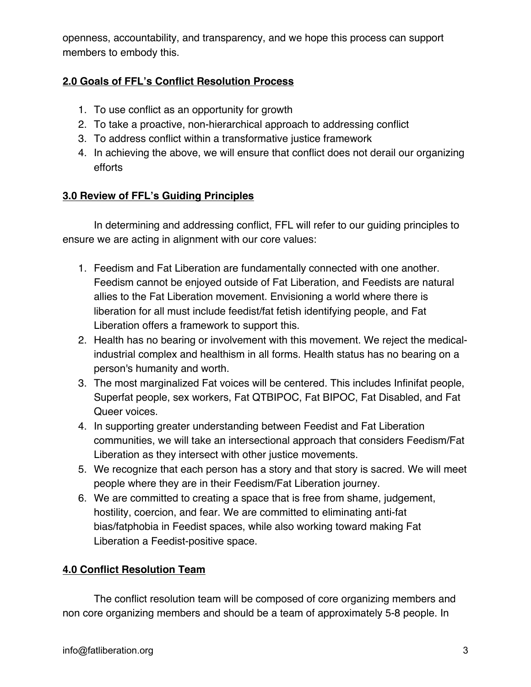openness, accountability, and transparency, and we hope this process can support members to embody this.

### **2.0 Goals of FFL's Conflict Resolution Process**

- 1. To use conflict as an opportunity for growth
- 2. To take a proactive, non-hierarchical approach to addressing conflict
- 3. To address conflict within a transformative justice framework
- 4. In achieving the above, we will ensure that conflict does not derail our organizing efforts

### **3.0 Review of FFL's Guiding Principles**

In determining and addressing conflict, FFL will refer to our guiding principles to ensure we are acting in alignment with our core values:

- 1. Feedism and Fat Liberation are fundamentally connected with one another. Feedism cannot be enjoyed outside of Fat Liberation, and Feedists are natural allies to the Fat Liberation movement. Envisioning a world where there is liberation for all must include feedist/fat fetish identifying people, and Fat Liberation offers a framework to support this.
- 2. Health has no bearing or involvement with this movement. We reject the medicalindustrial complex and healthism in all forms. Health status has no bearing on a person's humanity and worth.
- 3. The most marginalized Fat voices will be centered. This includes Infinifat people, Superfat people, sex workers, Fat QTBIPOC, Fat BIPOC, Fat Disabled, and Fat Queer voices.
- 4. In supporting greater understanding between Feedist and Fat Liberation communities, we will take an intersectional approach that considers Feedism/Fat Liberation as they intersect with other justice movements.
- 5. We recognize that each person has a story and that story is sacred. We will meet people where they are in their Feedism/Fat Liberation journey.
- 6. We are committed to creating a space that is free from shame, judgement, hostility, coercion, and fear. We are committed to eliminating anti-fat bias/fatphobia in Feedist spaces, while also working toward making Fat Liberation a Feedist-positive space.

# **4.0 Conflict Resolution Team**

The conflict resolution team will be composed of core organizing members and non core organizing members and should be a team of approximately 5-8 people. In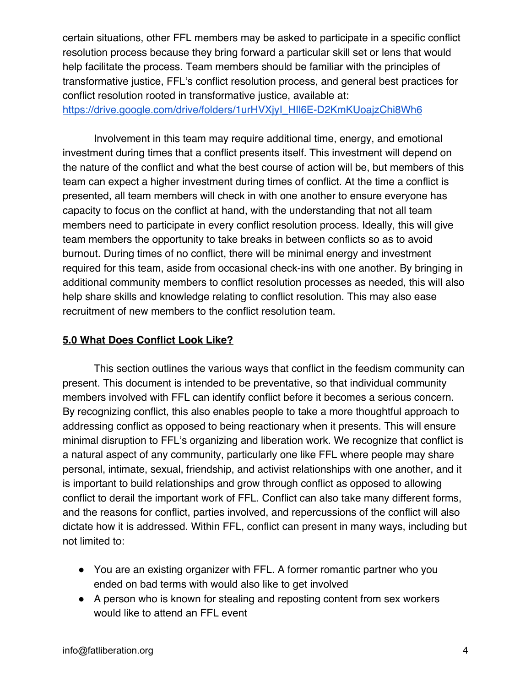certain situations, other FFL members may be asked to participate in a specific conflict resolution process because they bring forward a particular skill set or lens that would help facilitate the process. Team members should be familiar with the principles of transformative justice, FFL's conflict resolution process, and general best practices for conflict resolution rooted in transformative justice, available at:

https://drive.google.com/drive/folders/1urHVXjyI\_HII6E-D2KmKUoajzChi8Wh6

Involvement in this team may require additional time, energy, and emotional investment during times that a conflict presents itself. This investment will depend on the nature of the conflict and what the best course of action will be, but members of this team can expect a higher investment during times of conflict. At the time a conflict is presented, all team members will check in with one another to ensure everyone has capacity to focus on the conflict at hand, with the understanding that not all team members need to participate in every conflict resolution process. Ideally, this will give team members the opportunity to take breaks in between conflicts so as to avoid burnout. During times of no conflict, there will be minimal energy and investment required for this team, aside from occasional check-ins with one another. By bringing in additional community members to conflict resolution processes as needed, this will also help share skills and knowledge relating to conflict resolution. This may also ease recruitment of new members to the conflict resolution team.

# **5.0 What Does Conflict Look Like?**

This section outlines the various ways that conflict in the feedism community can present. This document is intended to be preventative, so that individual community members involved with FFL can identify conflict before it becomes a serious concern. By recognizing conflict, this also enables people to take a more thoughtful approach to addressing conflict as opposed to being reactionary when it presents. This will ensure minimal disruption to FFL's organizing and liberation work. We recognize that conflict is a natural aspect of any community, particularly one like FFL where people may share personal, intimate, sexual, friendship, and activist relationships with one another, and it is important to build relationships and grow through conflict as opposed to allowing conflict to derail the important work of FFL. Conflict can also take many different forms, and the reasons for conflict, parties involved, and repercussions of the conflict will also dictate how it is addressed. Within FFL, conflict can present in many ways, including but not limited to:

- You are an existing organizer with FFL. A former romantic partner who you ended on bad terms with would also like to get involved
- A person who is known for stealing and reposting content from sex workers would like to attend an FFL event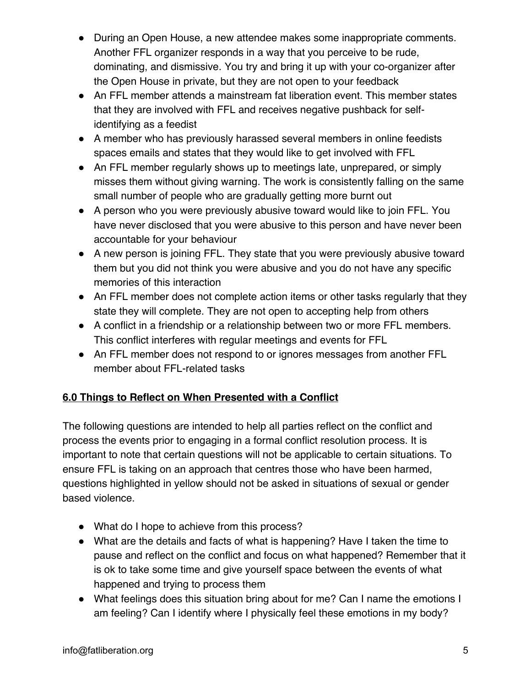- During an Open House, a new attendee makes some inappropriate comments. Another FFL organizer responds in a way that you perceive to be rude, dominating, and dismissive. You try and bring it up with your co-organizer after the Open House in private, but they are not open to your feedback
- An FFL member attends a mainstream fat liberation event. This member states that they are involved with FFL and receives negative pushback for selfidentifying as a feedist
- A member who has previously harassed several members in online feedists spaces emails and states that they would like to get involved with FFL
- An FFL member regularly shows up to meetings late, unprepared, or simply misses them without giving warning. The work is consistently falling on the same small number of people who are gradually getting more burnt out
- A person who you were previously abusive toward would like to join FFL. You have never disclosed that you were abusive to this person and have never been accountable for your behaviour
- A new person is joining FFL. They state that you were previously abusive toward them but you did not think you were abusive and you do not have any specific memories of this interaction
- An FFL member does not complete action items or other tasks regularly that they state they will complete. They are not open to accepting help from others
- A conflict in a friendship or a relationship between two or more FFL members. This conflict interferes with regular meetings and events for FFL
- An FFL member does not respond to or ignores messages from another FFL member about FFL-related tasks

# **6.0 Things to Reflect on When Presented with a Conflict**

The following questions are intended to help all parties reflect on the conflict and process the events prior to engaging in a formal conflict resolution process. It is important to note that certain questions will not be applicable to certain situations. To ensure FFL is taking on an approach that centres those who have been harmed, questions highlighted in yellow should not be asked in situations of sexual or gender based violence.

- What do I hope to achieve from this process?
- What are the details and facts of what is happening? Have I taken the time to pause and reflect on the conflict and focus on what happened? Remember that it is ok to take some time and give yourself space between the events of what happened and trying to process them
- What feelings does this situation bring about for me? Can I name the emotions I am feeling? Can I identify where I physically feel these emotions in my body?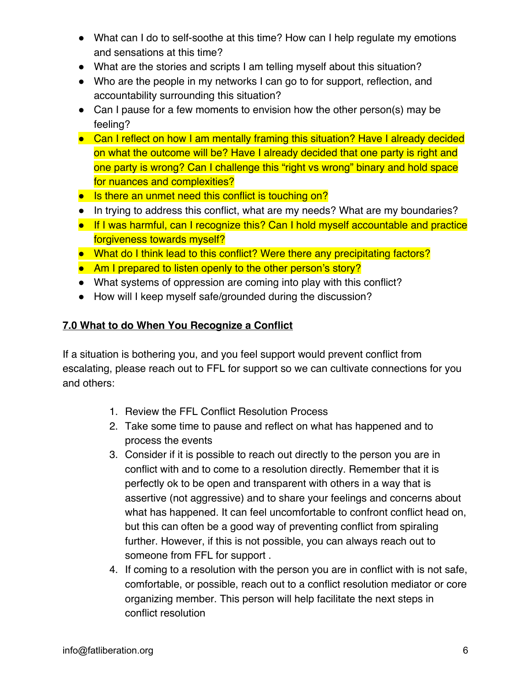- What can I do to self-soothe at this time? How can I help regulate my emotions and sensations at this time?
- What are the stories and scripts I am telling myself about this situation?
- Who are the people in my networks I can go to for support, reflection, and accountability surrounding this situation?
- Can I pause for a few moments to envision how the other person(s) may be feeling?
- Can I reflect on how I am mentally framing this situation? Have I already decided on what the outcome will be? Have I already decided that one party is right and one party is wrong? Can I challenge this "right vs wrong" binary and hold space for nuances and complexities?
- Is there an unmet need this conflict is touching on?
- In trying to address this conflict, what are my needs? What are my boundaries?
- If I was harmful, can I recognize this? Can I hold myself accountable and practice forgiveness towards myself?
- What do I think lead to this conflict? Were there any precipitating factors?
- Am I prepared to listen openly to the other person's story?
- What systems of oppression are coming into play with this conflict?
- How will I keep myself safe/grounded during the discussion?

# **7.0 What to do When You Recognize a Conflict**

If a situation is bothering you, and you feel support would prevent conflict from escalating, please reach out to FFL for support so we can cultivate connections for you and others:

- 1. Review the FFL Conflict Resolution Process
- 2. Take some time to pause and reflect on what has happened and to process the events
- 3. Consider if it is possible to reach out directly to the person you are in conflict with and to come to a resolution directly. Remember that it is perfectly ok to be open and transparent with others in a way that is assertive (not aggressive) and to share your feelings and concerns about what has happened. It can feel uncomfortable to confront conflict head on, but this can often be a good way of preventing conflict from spiraling further. However, if this is not possible, you can always reach out to someone from FFL for support .
- 4. If coming to a resolution with the person you are in conflict with is not safe, comfortable, or possible, reach out to a conflict resolution mediator or core organizing member. This person will help facilitate the next steps in conflict resolution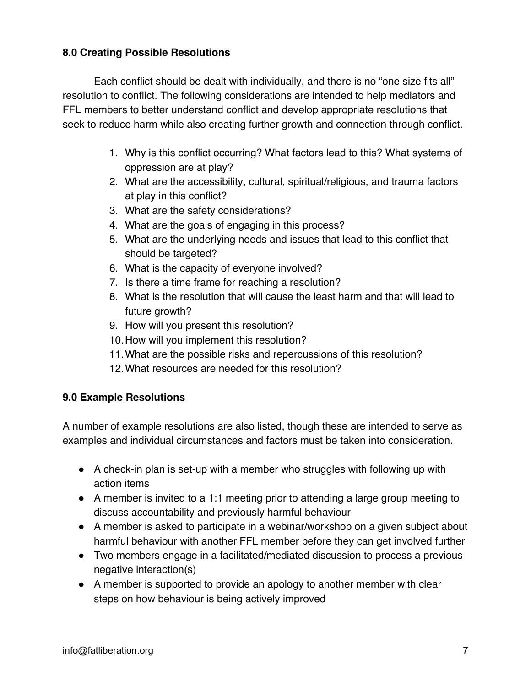### **8.0 Creating Possible Resolutions**

Each conflict should be dealt with individually, and there is no "one size fits all" resolution to conflict. The following considerations are intended to help mediators and FFL members to better understand conflict and develop appropriate resolutions that seek to reduce harm while also creating further growth and connection through conflict.

- 1. Why is this conflict occurring? What factors lead to this? What systems of oppression are at play?
- 2. What are the accessibility, cultural, spiritual/religious, and trauma factors at play in this conflict?
- 3. What are the safety considerations?
- 4. What are the goals of engaging in this process?
- 5. What are the underlying needs and issues that lead to this conflict that should be targeted?
- 6. What is the capacity of everyone involved?
- 7. Is there a time frame for reaching a resolution?
- 8. What is the resolution that will cause the least harm and that will lead to future growth?
- 9. How will you present this resolution?
- 10.How will you implement this resolution?
- 11.What are the possible risks and repercussions of this resolution?
- 12.What resources are needed for this resolution?

#### **9.0 Example Resolutions**

A number of example resolutions are also listed, though these are intended to serve as examples and individual circumstances and factors must be taken into consideration.

- A check-in plan is set-up with a member who struggles with following up with action items
- A member is invited to a 1:1 meeting prior to attending a large group meeting to discuss accountability and previously harmful behaviour
- A member is asked to participate in a webinar/workshop on a given subject about harmful behaviour with another FFL member before they can get involved further
- Two members engage in a facilitated/mediated discussion to process a previous negative interaction(s)
- A member is supported to provide an apology to another member with clear steps on how behaviour is being actively improved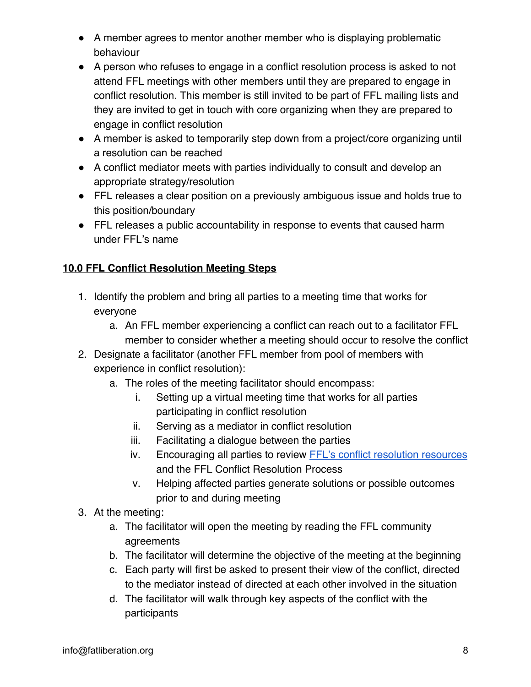- A member agrees to mentor another member who is displaying problematic behaviour
- A person who refuses to engage in a conflict resolution process is asked to not attend FFL meetings with other members until they are prepared to engage in conflict resolution. This member is still invited to be part of FFL mailing lists and they are invited to get in touch with core organizing when they are prepared to engage in conflict resolution
- A member is asked to temporarily step down from a project/core organizing until a resolution can be reached
- A conflict mediator meets with parties individually to consult and develop an appropriate strategy/resolution
- FFL releases a clear position on a previously ambiguous issue and holds true to this position/boundary
- FFL releases a public accountability in response to events that caused harm under FFL's name

### **10.0 FFL Conflict Resolution Meeting Steps**

- 1. Identify the problem and bring all parties to a meeting time that works for everyone
	- a. An FFL member experiencing a conflict can reach out to a facilitator FFL member to consider whether a meeting should occur to resolve the conflict
- 2. Designate a facilitator (another FFL member from pool of members with experience in conflict resolution):
	- a. The roles of the meeting facilitator should encompass:
		- i. Setting up a virtual meeting time that works for all parties participating in conflict resolution
		- ii. Serving as a mediator in conflict resolution
		- iii. Facilitating a dialogue between the parties
		- iv. Encouraging all parties to review FFL's conflict resolution resources and the FFL Conflict Resolution Process
		- v. Helping affected parties generate solutions or possible outcomes prior to and during meeting
- 3. At the meeting:
	- a. The facilitator will open the meeting by reading the FFL community agreements
	- b. The facilitator will determine the objective of the meeting at the beginning
	- c. Each party will first be asked to present their view of the conflict, directed to the mediator instead of directed at each other involved in the situation
	- d. The facilitator will walk through key aspects of the conflict with the participants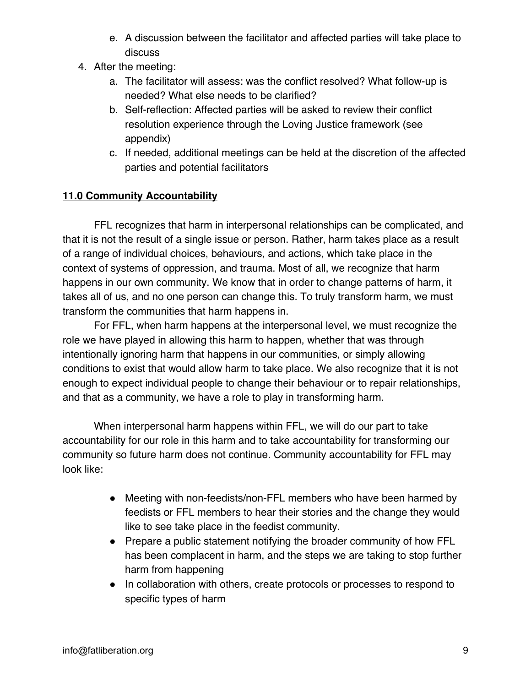- e. A discussion between the facilitator and affected parties will take place to discuss
- 4. After the meeting:
	- a. The facilitator will assess: was the conflict resolved? What follow-up is needed? What else needs to be clarified?
	- b. Self-reflection: Affected parties will be asked to review their conflict resolution experience through the Loving Justice framework (see appendix)
	- c. If needed, additional meetings can be held at the discretion of the affected parties and potential facilitators

### **11.0 Community Accountability**

FFL recognizes that harm in interpersonal relationships can be complicated, and that it is not the result of a single issue or person. Rather, harm takes place as a result of a range of individual choices, behaviours, and actions, which take place in the context of systems of oppression, and trauma. Most of all, we recognize that harm happens in our own community. We know that in order to change patterns of harm, it takes all of us, and no one person can change this. To truly transform harm, we must transform the communities that harm happens in.

For FFL, when harm happens at the interpersonal level, we must recognize the role we have played in allowing this harm to happen, whether that was through intentionally ignoring harm that happens in our communities, or simply allowing conditions to exist that would allow harm to take place. We also recognize that it is not enough to expect individual people to change their behaviour or to repair relationships, and that as a community, we have a role to play in transforming harm.

When interpersonal harm happens within FFL, we will do our part to take accountability for our role in this harm and to take accountability for transforming our community so future harm does not continue. Community accountability for FFL may look like:

- Meeting with non-feedists/non-FFL members who have been harmed by feedists or FFL members to hear their stories and the change they would like to see take place in the feedist community.
- Prepare a public statement notifying the broader community of how FFL has been complacent in harm, and the steps we are taking to stop further harm from happening
- In collaboration with others, create protocols or processes to respond to specific types of harm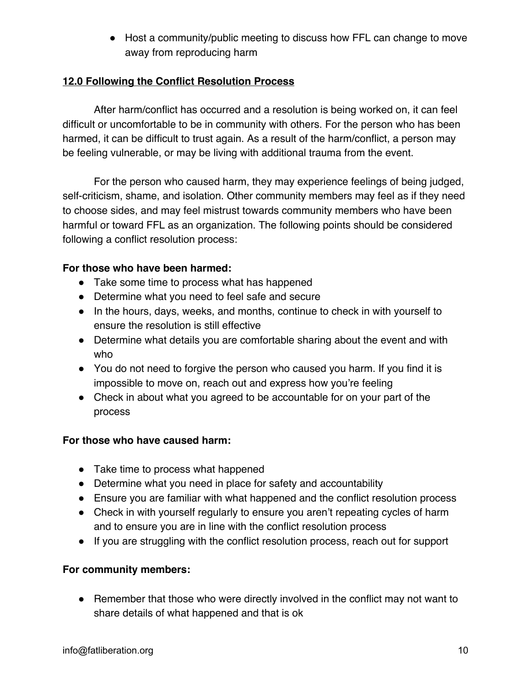● Host a community/public meeting to discuss how FFL can change to move away from reproducing harm

### **12.0 Following the Conflict Resolution Process**

After harm/conflict has occurred and a resolution is being worked on, it can feel difficult or uncomfortable to be in community with others. For the person who has been harmed, it can be difficult to trust again. As a result of the harm/conflict, a person may be feeling vulnerable, or may be living with additional trauma from the event.

For the person who caused harm, they may experience feelings of being judged, self-criticism, shame, and isolation. Other community members may feel as if they need to choose sides, and may feel mistrust towards community members who have been harmful or toward FFL as an organization. The following points should be considered following a conflict resolution process:

### **For those who have been harmed:**

- Take some time to process what has happened
- Determine what you need to feel safe and secure
- In the hours, days, weeks, and months, continue to check in with yourself to ensure the resolution is still effective
- Determine what details you are comfortable sharing about the event and with who
- You do not need to forgive the person who caused you harm. If you find it is impossible to move on, reach out and express how you're feeling
- Check in about what you agreed to be accountable for on your part of the process

#### **For those who have caused harm:**

- Take time to process what happened
- Determine what you need in place for safety and accountability
- Ensure you are familiar with what happened and the conflict resolution process
- Check in with yourself regularly to ensure you aren't repeating cycles of harm and to ensure you are in line with the conflict resolution process
- If you are struggling with the conflict resolution process, reach out for support

### **For community members:**

● Remember that those who were directly involved in the conflict may not want to share details of what happened and that is ok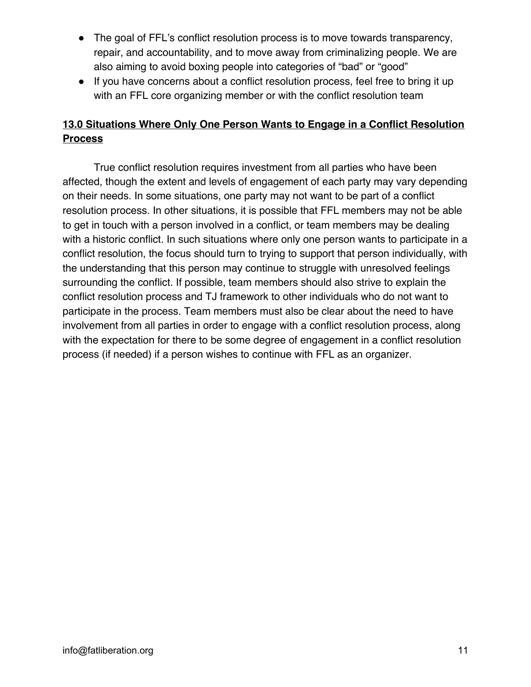- The goal of FFL's conflict resolution process is to move towards transparency, repair, and accountability, and to move away from criminalizing people. We are also aiming to avoid boxing people into categories of "bad" or "good"
- If you have concerns about a conflict resolution process, feel free to bring it up with an FFL core organizing member or with the conflict resolution team

# **13.0 Situations Where Only One Person Wants to Engage in a Conflict Resolution Process**

True conflict resolution requires investment from all parties who have been affected, though the extent and levels of engagement of each party may vary depending on their needs. In some situations, one party may not want to be part of a conflict resolution process. In other situations, it is possible that FFL members may not be able to get in touch with a person involved in a conflict, or team members may be dealing with a historic conflict. In such situations where only one person wants to participate in a conflict resolution, the focus should turn to trying to support that person individually, with the understanding that this person may continue to struggle with unresolved feelings surrounding the conflict. If possible, team members should also strive to explain the conflict resolution process and TJ framework to other individuals who do not want to participate in the process. Team members must also be clear about the need to have involvement from all parties in order to engage with a conflict resolution process, along with the expectation for there to be some degree of engagement in a conflict resolution process (if needed) if a person wishes to continue with FFL as an organizer.